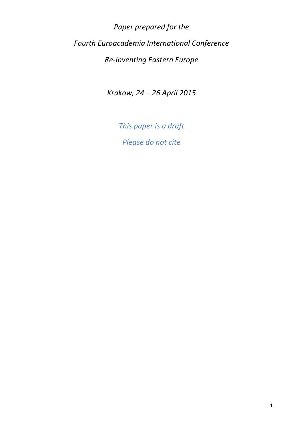*Paper prepared for the Fourth Euroacademia International Conference Re-Inventing Eastern Europe* 

*Krakow, 24 – 26 April 2015* 

*This paper is a draft* 

*Please do not cite*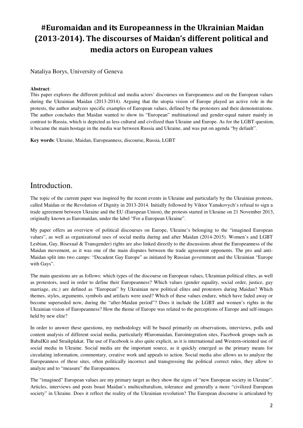# **#Euromaidan and its Europeanness in the Ukrainian Maidan (2013-2014). The discourses of Maidan's different political and media actors on European values**

Nataliya Borys, University of Geneva

#### **Abstract**:

This paper explores the different political and media actors' discourses on Europeanness and on the European values during the Ukrainian Maidan (2013-2014). Arguing that the utopia vision of Europe played an active role in the protests, the author analyzes specific examples of European values, defined by the protesters and their demonstrations. The author concludes that Maidan wanted to show its "European" multinational and gender-equal nature mainly in contrast to Russia, which is depicted as less cultural and civilized than Ukraine and Europe. As for the LGBT question, it became the main hostage in the media war between Russia and Ukraine, and was put on agenda "by default".

**Key words**: Ukraine, Maidan, Europeanness, discourse, Russia, LGBT

#### Introduction.

The topic of the current paper was inspired by the recent events in Ukraine and particularly by the Ukrainian protests, called Maidan or the Revolution of Dignity in 2013-2014. Initially followed by Viktor Yanukovych's refusal to sign a trade agreement between Ukraine and the EU (European Union), the protests started in Ukraine on 21 November 2013, originally known as Euromaidan, under the label "For a European Ukraine".

My paper offers an overview of political discourses on Europe, Ukraine's belonging to the "imagined European values", as well as organizational uses of social media during and after Maidan (2014-2015). Women's and LGBT Lesbian, Gay, Bisexual & Transgender) rights are also linked directly to the discussions about the Europeanness of the Maidan movement, as it was one of the main disputes between the trade agreement opponents. The pro and anti-Maidan split into two camps: "Decadent Gay Europe" as initiated by Russian government and the Ukrainian "Europe with Gays".

The main questions are as follows: which types of the discourse on European values, Ukrainian political elites, as well as protestors, used in order to define their Europeanness? Which values (gender equality, social order, justice, gay marriage, etc.) are defined as "European" by Ukrainian new political elites and protestors during Maidan? Which themes, styles, arguments, symbols and artifacts were used? Which of these values endure, which have faded away or become superseded now, during the "after-Maidan period"? Does it include the LGBT and women's rights in the Ukrainian vision of Europeanness? How the theme of Europe was related to the perceptions of Europe and self-images held by new elite?

In order to answer these questions, my methodology will be based primarily on observations, interviews, polls and content analysis of different social media, particularly #Euromaidan, Eurointegration sites, Facebook groups such as BabaIKit and Straikplakat. The use of Facebook is also quite explicit, as it is international and Western-oriented use of social media in Ukraine. Social media are the important source, as it quickly emerged as the primary means for circulating information, commentary, creative work and appeals to action. Social media also allows us to analyze the Europeanness of these sites, often politically incorrect and transgressing the political correct rules, they allow to analyze and to "measure" the Europeanness.

The "imagined" European values are my primary target as they show the signs of "new European society in Ukraine". Articles, interviews and posts boast Maidan's multiculturalism, tolerance and generally a more "civilized European society" in Ukraine. Does it reflect the reality of the Ukrainian revolution? The European discourse is articulated by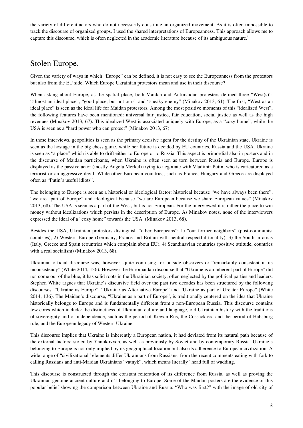the variety of different actors who do not necessarily constitute an organized movement. As it is often impossible to track the discourse of organized groups, I used the shared interpretations of Europeanness. This approach allows me to capture this discourse, which is often neglected in the academic literature because of its ambiguous nature.<sup>1</sup>

# Stolen Europe.

Given the variety of ways in which "Europe" can be defined, it is not easy to see the Europeanness from the protestors but also from the EU side. Which Europe Ukrainian protestors mean and use in their discourse?

When asking about Europe, as the spatial place, both Maidan and Antimaidan protesters defined three "West(s)": "almost an ideal place", "good place, but not ours" and "sneaky enemy" (Minakov 2013, 61). The first, "West as an ideal place" is seen as the ideal life for Maidan protestors. Among the most positive moments of this "idealized West", the following features have been mentioned: universal fair justice, fair education, social justice as well as the high revenues (Minakov 2013, 67). This idealized West is associated uniquely with Europe, as a "cozy home", while the USA is seen as a "hard power who can protect" (Minakov 2013, 67).

In these interviews, geopolitics is seen as the primary decisive agent for the destiny of the Ukrainian state. Ukraine is seen as the hostage in the big chess game, while her future is decided by EU countries, Russia and the USA. Ukraine is seen as "a place" which is able to drift either to Europe or to Russia. This aspect is primordial also in posters and in the discourse of Maidan participants, when Ukraine is often seen as torn between Russia and Europe. Europe is displayed as the passive actor (mostly Angela Merkel) trying to negotiate with Vladimir Putin, who is caricatured as a terrorist or an aggressive devil. While other European countries, such as France, Hungary and Greece are displayed often as "Putin's useful idiots".

The belonging to Europe is seen as a historical or ideological factor: historical because "we have always been there", "we area part of Europe" and ideological because "we are European because we share European values" (Minakov 2013, 68). The USA is seen as a part of the West, but is not European. For the interviewed it is rather the place to win money without idealizations which persists in the description of Europe. As Minakov notes, none of the interviewers expressed the ideal of a "cozy home" towards the USA. (Minakov 2013, 68).

Besides the USA, Ukrainian protestors distinguish "other Europeans": 1) "our former neighbors" (post-communist countries), 2) Western Europe (Germany, France and Britain with neutral-respectful tonality), 3) the South in crisis (Italy, Greece and Spain (countries which complain about EU), 4) Scandinavian countries (positive attitude, countries with a real socialism) (Minakov 2013, 68).

Ukrainian official discourse was, however, quite confusing for outside observers or "remarkably consistent in its inconsistency" (White 2014, 136). However the Euromaidan discourse that "Ukraine is an inherent part of Europe" did not come out of the blue, it has solid roots in the Ukrainian society, often neglected by the political parties and leaders. Stephen White argues that Ukraine's discursive field over the past two decades has been structured by the following discourses: "Ukraine as Europe", "Ukraine as Alternative Europe" and "Ukraine as part of Greater Europe" (White 2014, 136). The Maidan's discourse, "Ukraine as a part of Europe", is traditionally centered on the idea that Ukraine historically belongs to Europe and is fundamentally different from a non-European Russia. This discourse contains few cores which include: the distinctness of Ukrainian culture and language, old Ukrainian history with the traditions of sovereignty and of independence, such as the period of Kievan Rus, the Cossack era and the period of Habsburg rule, and the European legacy of Western Ukraine.

This discourse implies that Ukraine is inherently a European nation, it had deviated from its natural path because of the external factors: stolen by Yanukovych, as well as previously by Soviet and by contemporary Russia. Ukraine's belonging to Europe is not only implied by its geographical location but also its adherence to European civilization. A wide range of "civilizational" elements differ Ukrainians from Russians: from the recent comments eating with fork to calling Russians and anti-Maidan Ukrainians "vatnyk", which means literally "head full of wadding.

This discourse is constructed through the constant reiteration of its difference from Russia, as well as proving the Ukrainian genuine ancient culture and it's belonging to Europe. Some of the Maidan posters are the evidence of this popular belief showing the comparison between Ukraine and Russia: "Who was first?" with the image of old city of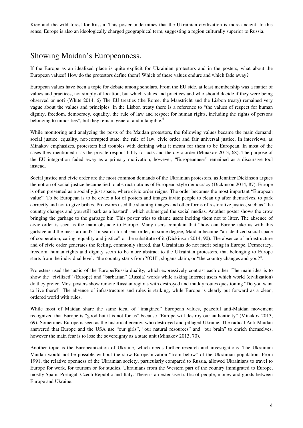Kiev and the wild forest for Russia. This poster undermines that the Ukrainian civilization is more ancient. In this sense, Europe is also an ideologically charged geographical term, suggesting a region culturally superior to Russia.

#### Showing Maidan's Europeanness.

If the Europe as an idealized place is quite explicit for Ukrainian protestors and in the posters, what about the European values? How do the protestors define them? Which of these values endure and which fade away?

European values have been a topic for debate among scholars. From the EU side, at least membership was a matter of values and practices, not simply of location, but which values and practices and who should decide if they were being observed or not? (White 2014, 6) The EU treaties (the Rome, the Maastricht and the Lisbon treaty) remained very vague about the values and principles. In the Lisbon treaty there is a reference to "the values of respect for human dignity, freedom, democracy, equality, the rule of law and respect for human rights, including the rights of persons belonging to minorities", but they remain general and intangible. $\ddot{I}$ 

While monitoring and analyzing the posts of the Maidan protestors, the following values became the main demand: social justice, equality, not-corrupted state, the rule of law, civic order and fair universal justice. In interviews, as Minakov emphasizes, protesters had troubles with defining what it meant for them to be European. In most of the cases they mentioned it as the private responsibility for acts and the civic order (Minakov 2013, 68). The purpose of the EU integration faded away as a primary motivation; however, "Europeanness" remained as a discursive tool instead.

Social justice and civic order are the most common demands of the Ukrainian protestors, as Jennifer Dickinson argues the notion of social justice became tied to abstract notions of European-style democracy (Dickinson 2014, 87). Europe is often presented as a socially just space, where civic order reigns. The order becomes the most important "European value". To be European is to be civic; a lot of posters and images invite people to clean up after themselves, to park correctly and not to give bribes. Protestors used the shaming images and other forms of restorative justice, such as "the country changes and you still park as a bastard", which submerged the social medias. Another poster shows the crow bringing the garbage to the garbage bin. This poster tries to shame users inciting them not to litter. The absence of civic order is seen as the main obstacle to Europe. Many users complain that "how can Europe take us with this garbage and the mess around?" In search for absent order, in some degree, Maidan became "an idealized social space of cooperation, caring, equality and justice" or the substitute of it (Dickinson 2014, 90). The absence of infrastructure and of civic order generates the feeling, commonly shared, that Ukrainians do not merit being in Europe. Democracy, freedom, human rights and dignity seem to be more abstract to the Ukrainian protesters, that belonging to Europe starts from the individual level: "the country starts from YOU", slogans claim, or "the country changes and you?".

Protesters used the tactic of the Europe/Russia duality, which expressively contrast each other. The main idea is to show the "civilized" (Europe) and "barbarian" (Russia) words while asking Internet users which world (civilization) do they prefer. Most posters show remote Russian regions with destroyed and muddy routes questioning "Do you want to live there?" The absence of infrastructure and rules is striking, while Europe is clearly put forward as a clean, ordered world with rules.

While most of Maidan share the same ideal of "imagined" European values, peaceful anti-Maidan movement recognized that Europe is "good but it is not for us" because "Europe will destroy our authenticity" (Minakov 2013, 69). Sometimes Europe is seen as the historical enemy, who destroyed and pillaged Ukraine. The radical Anti-Maidan answered that Europe and the USA use "our girls", "our natural resources" and "our brain" to enrich themselves, however the main fear is to lose the sovereignty as a state unit (Minakov 2013, 70).

Another topic is the Europeanization of Ukraine, which needs further research and investigations. The Ukrainian Maidan would not be possible without the slow Europeanization "from below" of the Ukrainian population. From 1991, the relative openness of the Ukrainian society, particularly compared to Russia, allowed Ukrainians to travel to Europe for work, for tourism or for studies. Ukrainians from the Western part of the country immigrated to Europe, mostly Spain, Portugal, Czech Republic and Italy. There is an extensive traffic of people, money and goods between Europe and Ukraine.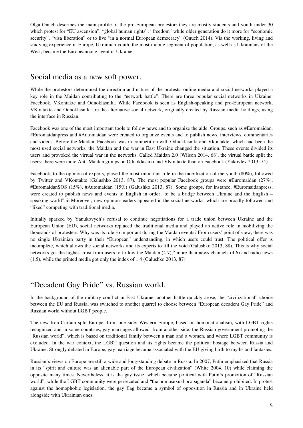Olga Onuch describes the main profile of the pro-European protestor: they are mostly students and youth under 30 which protest for "EU ascension", "global human rights", "freedom" while older generation do it more for "economic security", "visa liberation" or to live "in a normal European democracy" (Onuch 2014). Via the working, living and studying experience in Europe, Ukrainian youth, the most mobile segment of population, as well as Ukrainians of the West, became the Europeanizing agent in Ukraine.

## Social media as a new soft power.

While the protestors determined the direction and nature of the protests, online media and social networks played a key role in the Maidan contributing to the "network battle". There are three popular social networks in Ukraine: Facebook, VKontakte and Odnoklasniki. While Facebook is seen as English-speaking and pro-European network, VKontakte and Odnoklasniki are the alternative social network, originally created by Russian media holdings, using the interface in Russian.

Facebook was one of the most important tools to follow news and to organize the aide. Groups, such as #Euromaidan, #Euromaidanpress and #Automaidan were created to organize events and to publish news, interviews, commentaries and videos. Before the Maidan, Facebook was in competition with Odnoklasniki and Vkontakte, which had been the most used social networks, the Maidan and the war in East Ukraine changed the situation. These events divided its users and provoked the virtual war in the networks. Called Maidan 2.0 (Wilson 2014, 68), the virtual battle split the users: there were more Anti-Maidan groups on Odnoklasniki and VKontakte than on Facebook (Yakovlev 2013, 74).

Facebook, to the opinion of experts, played the most important role in the mobilization of the youth (80%), followed by Twitter and VKontakte (Galushko 2013, 87). The most popular Facebook groups were #Euromaidan (27%), #EuromaidanSOS (15%), #Automaidan (15%) (Galushko 2013, 87). Some groups, for instance, #Euromaidanpress, were created to publish news and events in English in order "to be a bridge between Ukraine and the English – speaking world".iii Moreover, new opinion-leaders appeared in the social networks, which are broadly followed and "liked" competing with traditional media.

Initially sparked by Yanukovych's refusal to continue negotiations for a trade union between Ukraine and the European Union (EU), social networks replaced the traditional media and played an active role in mobilizing the thousands of protesters. Why was its role so important during the Maidan events? From users' point of view, there was no single Ukrainian party in their "European" understanding, in which users could trust. The political offer is incomplete, which allows the social networks and its experts to fill the void (Galushko 2013, 88). This is why social networks got the highest trust from users to follow the Maidan  $(4.7)$ ,<sup>iv</sup> more than news channels  $(4.6)$  and radio news (1.5), while the printed media got only the index of 1.4 (Galushko 2013, 87).

# "Decadent Gay Pride" vs. Russian world.

In the background of the military conflict in East Ukraine, another battle quickly arose, the "civilizational" choice between the EU and Russia, was switched to another quarrel to choose between "European decadent Gay Pride" and Russian world without LGBT people.

The new Iron Curtain split Europe: from one side: Western Europe, based on homonationalism, with LGBT rights recognized and in some countries, gay marriages allowed, from another side: the Russian government promoting the "Russian world", which is based on traditional family between a man and a women, and where LGBT community is excluded. In the war context, the LGBT question and its rights became the political hostage between Russia and Ukraine. Strongly debated in Europe, gay marriage became associated with the EU giving birth to myths and fantasies.

Russian's views on Europe are still a wide and long-standing debate in Russia. In 2007, Putin emphasized that Russia in its "spirit and culture was an alienable part of the European civilization" (White 2004, 10) while claiming the opposite many times. Nevertheless, it is the gay issue, which became political with Putin's promotion of "Russian world", while the LGBT community were persecuted and "the homosexual propaganda" became prohibited. In protest against the homophobic legislation, the gay flag became a symbol of opposition in Russia and in Ukraine held alongside with Ukrainian ones.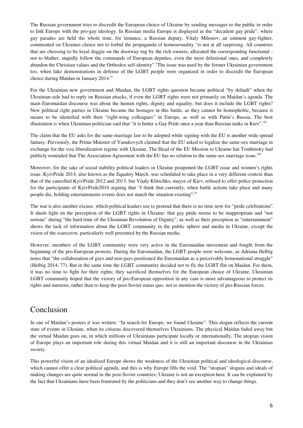The Russian government tries to discredit the European choice of Ukraine by sending messages to the public in order to link Europe with the pro-gay ideology. In Russian media Europe is displayed as the "decadent gay pride", where gay parades are held the whole time, for instance, a Russian deputy, Vitaly Milonov, an eminent gay-fighter, commented on Ukraines choice not to forbid the propaganda of homosexuality "is not at all surprising. All countries that are choosing to be loyal doggie on the doorway rug by the rich owners, allocated the corresponding functional not to blather, stupidly follow the commands of European deputies, even the most delusional ones, and completely abandon the Christian values and the Orthodox self-identity". The issue was used by the former Ukrainian government too, when fake demonstrations in defense of the LGBT people were organized in order to discredit the European choice during Maidan in January  $2014$ .

For the Ukrainian new government and Maidan, the LGBT rights question became political "by default" when the Ukrainian side had to reply on Russian attacks, if even the LGBT rights were not primarily on Maidan's agenda. The main Euromaidan discourse was about the human rights, dignity and equality, but does it include the LGBT rights? New political right parties in Ukraine became the hostages in this battle, as they cannot be homophobic, because it means to be identified with their "right-wing colleagues" in Europe, as well as with Putin's Russia. The best illustration is when Ukrainian politician said that "it is better a Gay Pride once a year than Russian tanks in Kiev".  $\mu$ "

The claim that the EU asks for the same-marriage law to be adopted while signing with the EU is another wide spread fantasy. Previously, the Prime Minister of Yanukovych claimed that the EU asked to legalize the same-sex marriage in exchange for the visa liberalization regime with Ukraine. The Head of the EU Mission to Ukraine Ian Tombinsky had publicly reminded that The Association Agreement with the EU has no relation to the same-sex marriage issue.<sup>viii</sup>

Moreover, for the sake of social stability political leaders in Ukraine postponed the LGBT issue and women's rights issue. KyivPride 2014, also known as the Equality March, was scheduled to take place in a very different context than that of the cancelled KyivPride 2012 and 2013, but Vitaly Klitschko, mayor of Kiev, refused to offer police protection for the participants of KyivPride2014 arguing that "I think that currently, when battle actions take place and many people die, holding entertainments events does not match the situation existing".<sup>ix</sup>

The war is also another excuse, which political leaders use to pretend that there is no time now for "pride celebrations". It sheds light on the perception of the LGBT rights in Ukraine: that gay pride seems to be inappropriate and "not serious" during "the hard time of the Ukrainian Revolution of Dignity", as well as their perception as "entertainment" shows the lack of information about the LGBT community in the public sphere and media in Ukraine, except the vision of the scarecrow, particularly well presented by the Russian media.

However, members of the LGBT community were very active in the Euromaidan movement and fought from the beginning of the pro-European protests. During the Euromaidan, the LGBT people were welcome, as Adriana Helbig notes that "the collaboration of gays and non-gays positioned the Euromaidan as a perceivably homonational struggle" (Helbig 2014, 77). But in the same time the LGBT community decided not to fly the LGBT flat on Maidan. For them, it was no time to fight for their rights; they sacrificed themselves for the European choice of Ukraine. Ukrainian LGBT community hoped that the victory of pro-European opposition in any case is more advantageous to protect its rights and interests, rather than to keep the post-Soviet status quo, not to mention the victory of pro-Russian forces.

# Conclusion

In one of Maidan's posters it was written: "In search for Europe, we found Ukraine". This slogan reflects the current state of events in Ukraine, when its citizens discovered themselves Ukrainians. The physical Maidan faded away but the virtual Maidan goes on, in which millions of Ukrainians participate locally or internationally. The utopian vision of Europe plays an important role during this virtual Maidan and it is still an important discourse in the Ukrainian society.

This powerful vision of an idealized Europe shows the weakness of the Ukrainian political and ideological discourse, which cannot offer a clear political agenda, and this is why Europe fills the void. The "utopian" slogans and ideals of making changes are quite normal in the post-Soviet countries; Ukraine is not an exception here. It can be explained by the fact that Ukrainians have been frustrated by the politicians and they don't see another way to change things.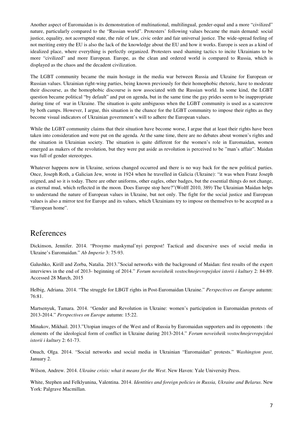Another aspect of Euromaidan is its demonstration of multinational, multilingual, gender-equal and a more "civilized" nature, particularly compared to the "Russian world". Protesters' following values became the main demand: social justice, equality, not acorrupted state, the rule of law, civic order and fair universal justice. The wide-spread feeling of not meriting entry the EU is also the lack of the knowledge about the EU and how it works. Europe is seen as a kind of idealized place, where everything is perfectly organized. Protesters used shaming tactics to incite Ukrainians to be more "civilized" and more European. Europe, as the clean and ordered world is compared to Russia, which is displayed as the chaos and the decadent civilization.

The LGBT community became the main hostage in the media war between Russia and Ukraine for European or Russian values. Ukrainian right-wing parties, being known previously for their homophobic rhetoric, have to moderate their discourse, as the homophobic discourse is now associated with the Russian world. In some kind, the LGBT question became political "by default" and put on agenda, but in the same time the gay prides seem to be inappropriate during time of war in Ukraine. The situation is quite ambiguous when the LGBT community is used as a scarecrow by both camps. However, I argue, this situation is the chance for the LGBT community to impose their rights as they become visual indicators of Ukrainian government's will to adhere the European values.

While the LGBT community claims that their situation have become worse, I argue that at least their rights have been taken into consideration and were put on the agenda. At the same time, there are no debates about women's rights and the situation in Ukrainian society. The situation is quite different for the women's role in Euromaidan, women emerged as makers of the revolution, but they were put aside as revolution is perceived to be "man's affair". Maidan was full of gender stereotypes.

Whatever happens now in Ukraine, serious changed occurred and there is no way back for the new political parties. Once, Joseph Roth, a Galician Jew, wrote in 1924 when he travelled in Galicia (Ukraine): "it was when Franz Joseph reigned, and so it is today. There are other uniforms, other eagles, other badges, but the essential things do not change, as eternal mud, which reflected in the moon. Does Europe stop here?"(Wolff 2010, 389) The Ukrainian Maidan helps to understand the nature of European values in Ukraine, but not only. The fight for the social justice and European values is also a mirror test for Europe and its values, which Ukrainians try to impose on themselves to be accepted as a "European home".

### References

Dickinson, Jennifer. 2014. "Prosymo maskymal'nyi perepost! Tactical and discursive uses of social media in Ukraine's Euromaidan." *Ab Imperio* 3: 75-93.

Galushko, Kirill and Zorba, Natalia. 2013."Social networks with the background of Maidan: first results of the expert interviews in the end of 2013- beginning of 2014." *Forum noveisheik vostochnojevropejskoi istorii i kultury* 2: 84-89. Accessed 28 March, 2015

Helbig, Adriana. 2014. "The struggle for LBGT rights in Post-Euromaidan Ukraine." *Perspectives on Europe* autumn: 76:81.

Martsenyuk, Tamara. 2014. "Gender and Revolution in Ukraine: women's participation in Euromaidan protests of 2013-2014." *Perspectives on Europe* autumn: 15:22.

Minakov, Mikhail. 2013."Utopian images of the West and of Russia by Euromaidan supporters and its opponents : the elements of the ideological form of conflict in Ukraine during 2013-2014." *Forum noveisheik vostochnojevropejskoi istorii i kultury* 2: 61-73.

Onuch, Olga. 2014. "Social networks and social media in Ukrainian "Euromaidan" protests." *Washington post*, January 2.

Wilson, Andrew. 2014. *Ukraine crisis: what it means for the West*. New Haven: Yale University Press.

White, Stephen and Felklyunina, Valentina. 2014. *Identities and foreign policies in Russia, Ukraine and Belarus*. New York: Palgrave Macmillan.